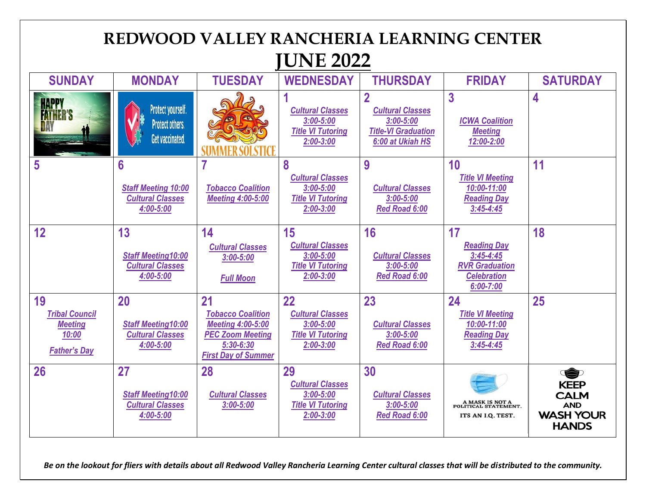

*Be on the lookout for fliers with details about all Redwood Valley Rancheria Learning Center cultural classes that will be distributed to the community.*